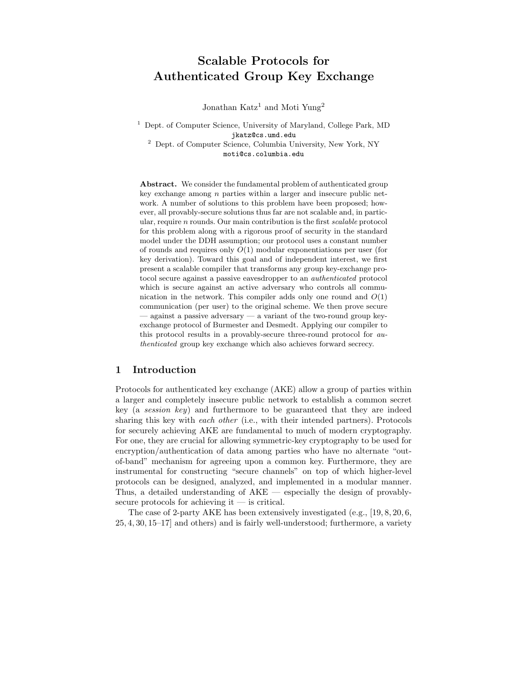# Scalable Protocols for Authenticated Group Key Exchange

Jonathan Katz<sup>1</sup> and Moti Yung<sup>2</sup>

<sup>1</sup> Dept. of Computer Science, University of Maryland, College Park, MD jkatz@cs.umd.edu <sup>2</sup> Dept. of Computer Science, Columbia University, New York, NY moti@cs.columbia.edu

Abstract. We consider the fundamental problem of authenticated group key exchange among  $n$  parties within a larger and insecure public network. A number of solutions to this problem have been proposed; however, all provably-secure solutions thus far are not scalable and, in particular, require  $n$  rounds. Our main contribution is the first scalable protocol for this problem along with a rigorous proof of security in the standard model under the DDH assumption; our protocol uses a constant number of rounds and requires only  $O(1)$  modular exponentiations per user (for key derivation). Toward this goal and of independent interest, we first present a scalable compiler that transforms any group key-exchange protocol secure against a passive eavesdropper to an authenticated protocol which is secure against an active adversary who controls all communication in the network. This compiler adds only one round and  $O(1)$ communication (per user) to the original scheme. We then prove secure — against a passive adversary — a variant of the two-round group keyexchange protocol of Burmester and Desmedt. Applying our compiler to this protocol results in a provably-secure three-round protocol for authenticated group key exchange which also achieves forward secrecy.

## 1 Introduction

Protocols for authenticated key exchange (AKE) allow a group of parties within a larger and completely insecure public network to establish a common secret key (a session key) and furthermore to be guaranteed that they are indeed sharing this key with each other (i.e., with their intended partners). Protocols for securely achieving AKE are fundamental to much of modern cryptography. For one, they are crucial for allowing symmetric-key cryptography to be used for encryption/authentication of data among parties who have no alternate "outof-band" mechanism for agreeing upon a common key. Furthermore, they are instrumental for constructing "secure channels" on top of which higher-level protocols can be designed, analyzed, and implemented in a modular manner. Thus, a detailed understanding of AKE — especially the design of provablysecure protocols for achieving it  $-$  is critical.

The case of 2-party AKE has been extensively investigated (e.g., [19, 8, 20, 6, 25, 4, 30, 15–17] and others) and is fairly well-understood; furthermore, a variety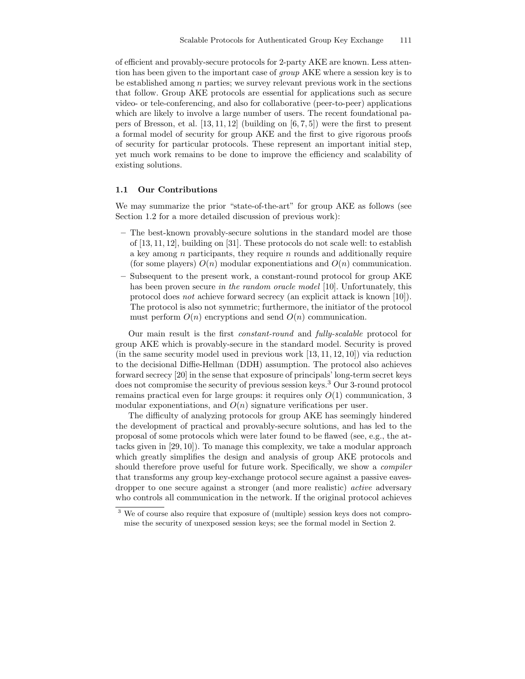of efficient and provably-secure protocols for 2-party AKE are known. Less attention has been given to the important case of *group* AKE where a session key is to be established among  $n$  parties; we survey relevant previous work in the sections that follow. Group AKE protocols are essential for applications such as secure video- or tele-conferencing, and also for collaborative (peer-to-peer) applications which are likely to involve a large number of users. The recent foundational papers of Bresson, et al. [13, 11, 12] (building on [6, 7, 5]) were the first to present a formal model of security for group AKE and the first to give rigorous proofs of security for particular protocols. These represent an important initial step, yet much work remains to be done to improve the efficiency and scalability of existing solutions.

#### 1.1 Our Contributions

We may summarize the prior "state-of-the-art" for group AKE as follows (see Section 1.2 for a more detailed discussion of previous work):

- The best-known provably-secure solutions in the standard model are those of [13, 11, 12], building on [31]. These protocols do not scale well: to establish a key among  $n$  participants, they require  $n$  rounds and additionally require (for some players)  $O(n)$  modular exponentiations and  $O(n)$  communication.
- Subsequent to the present work, a constant-round protocol for group AKE has been proven secure in the random oracle model [10]. Unfortunately, this protocol does not achieve forward secrecy (an explicit attack is known [10]). The protocol is also not symmetric; furthermore, the initiator of the protocol must perform  $O(n)$  encryptions and send  $O(n)$  communication.

Our main result is the first constant-round and fully-scalable protocol for group AKE which is provably-secure in the standard model. Security is proved (in the same security model used in previous work [13, 11, 12, 10]) via reduction to the decisional Diffie-Hellman (DDH) assumption. The protocol also achieves forward secrecy [20] in the sense that exposure of principals' long-term secret keys does not compromise the security of previous session keys.<sup>3</sup> Our 3-round protocol remains practical even for large groups: it requires only  $O(1)$  communication, 3 modular exponentiations, and  $O(n)$  signature verifications per user.

The difficulty of analyzing protocols for group AKE has seemingly hindered the development of practical and provably-secure solutions, and has led to the proposal of some protocols which were later found to be flawed (see, e.g., the attacks given in [29, 10]). To manage this complexity, we take a modular approach which greatly simplifies the design and analysis of group AKE protocols and should therefore prove useful for future work. Specifically, we show a *compiler* that transforms any group key-exchange protocol secure against a passive eavesdropper to one secure against a stronger (and more realistic) active adversary who controls all communication in the network. If the original protocol achieves

<sup>3</sup> We of course also require that exposure of (multiple) session keys does not compromise the security of unexposed session keys; see the formal model in Section 2.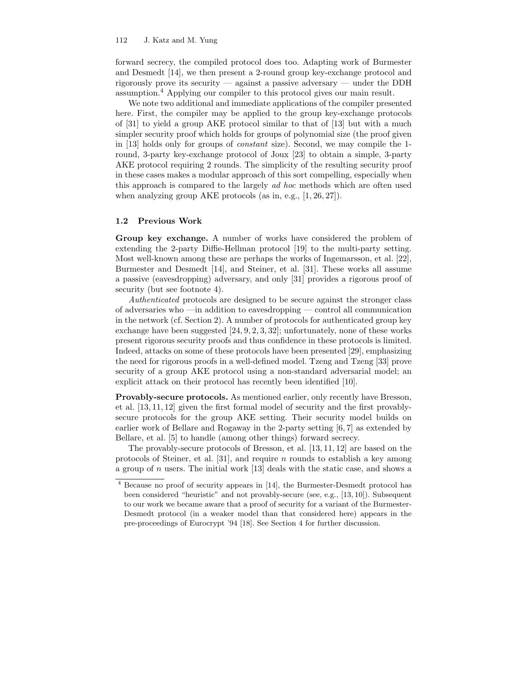forward secrecy, the compiled protocol does too. Adapting work of Burmester and Desmedt [14], we then present a 2-round group key-exchange protocol and rigorously prove its security — against a passive adversary — under the DDH assumption.<sup>4</sup> Applying our compiler to this protocol gives our main result.

We note two additional and immediate applications of the compiler presented here. First, the compiler may be applied to the group key-exchange protocols of [31] to yield a group AKE protocol similar to that of [13] but with a much simpler security proof which holds for groups of polynomial size (the proof given in [13] holds only for groups of constant size). Second, we may compile the 1 round, 3-party key-exchange protocol of Joux [23] to obtain a simple, 3-party AKE protocol requiring 2 rounds. The simplicity of the resulting security proof in these cases makes a modular approach of this sort compelling, especially when this approach is compared to the largely ad hoc methods which are often used when analyzing group AKE protocols (as in, e.g., [1, 26, 27]).

#### 1.2 Previous Work

Group key exchange. A number of works have considered the problem of extending the 2-party Diffie-Hellman protocol [19] to the multi-party setting. Most well-known among these are perhaps the works of Ingemarsson, et al. [22], Burmester and Desmedt [14], and Steiner, et al. [31]. These works all assume a passive (eavesdropping) adversary, and only [31] provides a rigorous proof of security (but see footnote 4).

Authenticated protocols are designed to be secure against the stronger class of adversaries who —in addition to eavesdropping — control all communication in the network (cf. Section 2). A number of protocols for authenticated group key exchange have been suggested [24, 9, 2, 3, 32]; unfortunately, none of these works present rigorous security proofs and thus confidence in these protocols is limited. Indeed, attacks on some of these protocols have been presented [29], emphasizing the need for rigorous proofs in a well-defined model. Tzeng and Tzeng [33] prove security of a group AKE protocol using a non-standard adversarial model; an explicit attack on their protocol has recently been identified [10].

Provably-secure protocols. As mentioned earlier, only recently have Bresson, et al. [13, 11, 12] given the first formal model of security and the first provablysecure protocols for the group AKE setting. Their security model builds on earlier work of Bellare and Rogaway in the 2-party setting [6, 7] as extended by Bellare, et al. [5] to handle (among other things) forward secrecy.

The provably-secure protocols of Bresson, et al. [13, 11, 12] are based on the protocols of Steiner, et al. [31], and require  $n$  rounds to establish a key among a group of n users. The initial work [13] deals with the static case, and shows a

<sup>4</sup> Because no proof of security appears in [14], the Burmester-Desmedt protocol has been considered "heuristic" and not provably-secure (see, e.g., [13, 10]). Subsequent to our work we became aware that a proof of security for a variant of the Burmester-Desmedt protocol (in a weaker model than that considered here) appears in the pre-proceedings of Eurocrypt '94 [18]. See Section 4 for further discussion.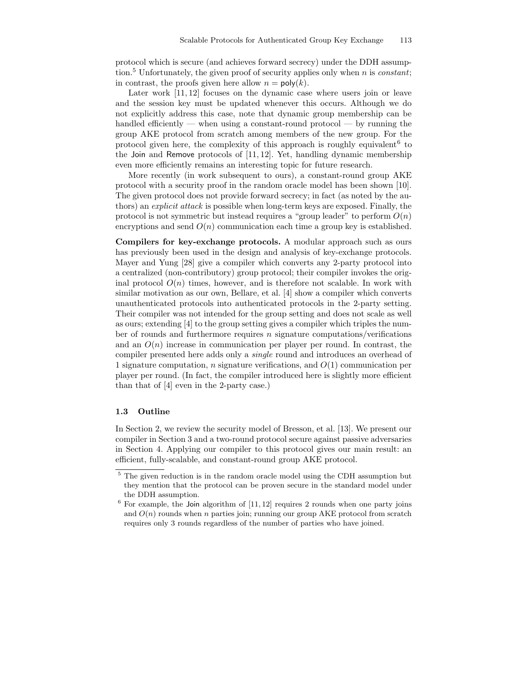protocol which is secure (and achieves forward secrecy) under the DDH assumption.<sup>5</sup> Unfortunately, the given proof of security applies only when n is *constant*; in contrast, the proofs given here allow  $n = poly(k)$ .

Later work [11, 12] focuses on the dynamic case where users join or leave and the session key must be updated whenever this occurs. Although we do not explicitly address this case, note that dynamic group membership can be handled efficiently — when using a constant-round protocol — by running the group AKE protocol from scratch among members of the new group. For the protocol given here, the complexity of this approach is roughly equivalent 6 to the Join and Remove protocols of [11, 12]. Yet, handling dynamic membership even more efficiently remains an interesting topic for future research.

More recently (in work subsequent to ours), a constant-round group AKE protocol with a security proof in the random oracle model has been shown [10]. The given protocol does not provide forward secrecy; in fact (as noted by the authors) an explicit attack is possible when long-term keys are exposed. Finally, the protocol is not symmetric but instead requires a "group leader" to perform  $O(n)$ encryptions and send  $O(n)$  communication each time a group key is established.

Compilers for key-exchange protocols. A modular approach such as ours has previously been used in the design and analysis of key-exchange protocols. Mayer and Yung [28] give a compiler which converts any 2-party protocol into a centralized (non-contributory) group protocol; their compiler invokes the original protocol  $O(n)$  times, however, and is therefore not scalable. In work with similar motivation as our own, Bellare, et al. [4] show a compiler which converts unauthenticated protocols into authenticated protocols in the 2-party setting. Their compiler was not intended for the group setting and does not scale as well as ours; extending [4] to the group setting gives a compiler which triples the number of rounds and furthermore requires  $n$  signature computations/verifications and an  $O(n)$  increase in communication per player per round. In contrast, the compiler presented here adds only a single round and introduces an overhead of 1 signature computation, n signature verifications, and  $O(1)$  communication per player per round. (In fact, the compiler introduced here is slightly more efficient than that of [4] even in the 2-party case.)

### 1.3 Outline

In Section 2, we review the security model of Bresson, et al. [13]. We present our compiler in Section 3 and a two-round protocol secure against passive adversaries in Section 4. Applying our compiler to this protocol gives our main result: an efficient, fully-scalable, and constant-round group AKE protocol.

 $^5$  The given reduction is in the random oracle model using the CDH assumption but they mention that the protocol can be proven secure in the standard model under the DDH assumption.

 $6$  For example, the Join algorithm of  $[11, 12]$  requires 2 rounds when one party joins and  $O(n)$  rounds when n parties join; running our group AKE protocol from scratch requires only 3 rounds regardless of the number of parties who have joined.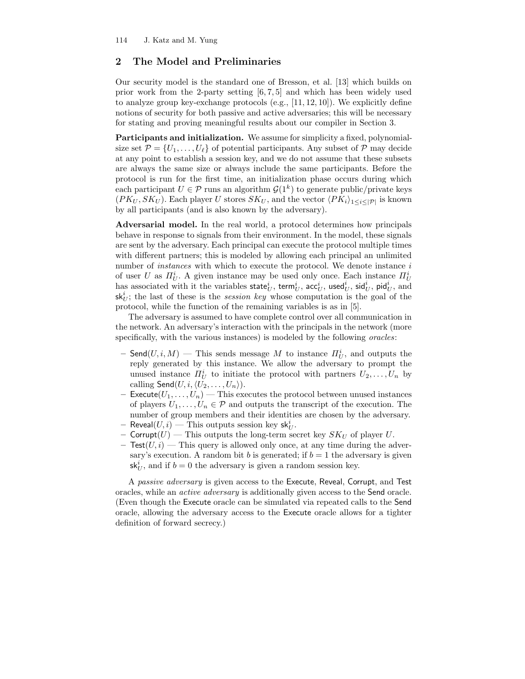# 2 The Model and Preliminaries

Our security model is the standard one of Bresson, et al. [13] which builds on prior work from the 2-party setting  $[6, 7, 5]$  and which has been widely used to analyze group key-exchange protocols (e.g., [11, 12, 10]). We explicitly define notions of security for both passive and active adversaries; this will be necessary for stating and proving meaningful results about our compiler in Section 3.

Participants and initialization. We assume for simplicity a fixed, polynomialsize set  $\mathcal{P} = \{U_1, \ldots, U_\ell\}$  of potential participants. Any subset of P may decide at any point to establish a session key, and we do not assume that these subsets are always the same size or always include the same participants. Before the protocol is run for the first time, an initialization phase occurs during which each participant  $U \in \mathcal{P}$  runs an algorithm  $\mathcal{G}(1^k)$  to generate public/private keys  $(PK_U, SK_U)$ . Each player U stores  $SK_U$ , and the vector  $\langle PK_i \rangle_{1 \le i \le |\mathcal{P}|}$  is known by all participants (and is also known by the adversary).

Adversarial model. In the real world, a protocol determines how principals behave in response to signals from their environment. In the model, these signals are sent by the adversary. Each principal can execute the protocol multiple times with different partners; this is modeled by allowing each principal an unlimited number of *instances* with which to execute the protocol. We denote instance i of user U as  $\Pi_U^i$ . A given instance may be used only once. Each instance  $\Pi_U^i$ has associated with it the variables  $\mathsf{state}_U^i, \, \mathsf{term}_U^i, \, \mathsf{acc}_U^i, \, \mathsf{used}_U^i, \, \mathsf{sid}_U^i, \, \mathsf{pid}_U^i, \, \text{and}$  $sk_U^i$ ; the last of these is the *session key* whose computation is the goal of the protocol, while the function of the remaining variables is as in [5].

The adversary is assumed to have complete control over all communication in the network. An adversary's interaction with the principals in the network (more specifically, with the various instances) is modeled by the following *oracles*:

- $-$  Send $(U, i, M)$   $-$  This sends message M to instance  $\Pi_U^i$ , and outputs the reply generated by this instance. We allow the adversary to prompt the unused instance  $\Pi_U^i$  to initiate the protocol with partners  $U_2, \ldots, U_n$  by calling  $\mathsf{Send}(U, i, \langle U_2, \ldots, U_n \rangle).$
- Execute $(U_1, \ldots, U_n)$  This executes the protocol between unused instances of players  $U_1, \ldots, U_n \in \mathcal{P}$  and outputs the transcript of the execution. The number of group members and their identities are chosen by the adversary.  $-$  Reveal $(U,i)$   $-$  This outputs session key  $\mathsf{sk}_U^i.$
- Corrupt $(U)$  This outputs the long-term secret key  $SK_U$  of player U.
- $-$  Test $(U, i)$  This query is allowed only once, at any time during the adversary's execution. A random bit b is generated; if  $b = 1$  the adversary is given  $sk_U^i$ , and if  $b = 0$  the adversary is given a random session key.

A passive adversary is given access to the Execute, Reveal, Corrupt, and Test oracles, while an active adversary is additionally given access to the Send oracle. (Even though the Execute oracle can be simulated via repeated calls to the Send oracle, allowing the adversary access to the Execute oracle allows for a tighter definition of forward secrecy.)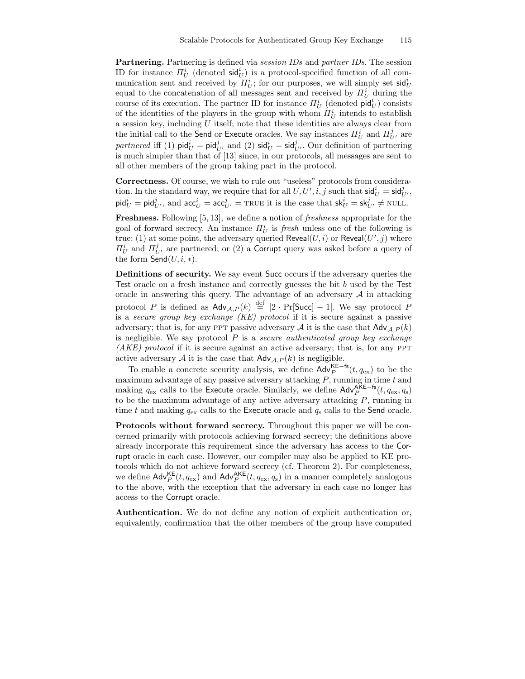**Partnering.** Partnering is defined via *session IDs* and *partner IDs*. The session ID for instance  $\Pi_U^i$  (denoted  $\mathsf{sid}_U^i$ ) is a protocol-specified function of all communication sent and received by  $H_U^i$ ; for our purposes, we will simply set  $\mathsf{sid}_U^i$ equal to the concatenation of all messages sent and received by  $\Pi_U^i$  during the course of its execution. The partner ID for instance  $\Pi_U^i$  (denoted  $\text{pid}_U^i$ ) consists of the identities of the players in the group with whom  $\Pi_U^i$  intends to establish a session key, including U itself; note that these identities are always clear from the initial call to the Send or Execute oracles. We say instances  $\Pi_U^i$  and  $\Pi_{U'}^j$  are partnered iff (1)  $\text{pid}_U^i = \text{pid}_{U'}^j$  and (2)  $\text{sid}_U^i = \text{sid}_{U'}^j$ . Our definition of partnering is much simpler than that of [13] since, in our protocols, all messages are sent to all other members of the group taking part in the protocol.

Correctness. Of course, we wish to rule out "useless" protocols from consideration. In the standard way, we require that for all  $U, U', i, j$  such that  $\mathsf{sid}^i_U = \mathsf{sid}^j_{U'}$ ,  $\mathsf{pid}^i_U = \mathsf{pid}^j_{U'}, \text{ and } \mathsf{acc}^i_U = \mathsf{acc}^j_{U'} = \textsc{true} \text{ it is the case that } \mathsf{sk}^i_U = \mathsf{sk}^j_{U'} \neq \textsc{null}.$ 

Freshness. Following [5, 13], we define a notion of freshness appropriate for the goal of forward secrecy. An instance  $\Pi_U^i$  is *fresh* unless one of the following is true: (1) at some point, the adversary queried  $\mathsf{Reveal}(U, i)$  or  $\mathsf{Reveal}(U', j)$  where  $\Pi_U^i$  and  $\Pi_{U'}^j$  are partnered; or (2) a Corrupt query was asked before a query of the form  $\mathsf{Send}(U,i,*)$ .

Definitions of security. We say event Succ occurs if the adversary queries the Test oracle on a fresh instance and correctly guesses the bit b used by the Test oracle in answering this query. The advantage of an adversary  $A$  in attacking protocol P is defined as  $\mathsf{Adv}_{\mathcal{A},P}(k) \stackrel{\text{def}}{=} |2 \cdot \Pr[\mathsf{Succ}] - 1|$ . We say protocol P is a secure group key exchange (KE) protocol if it is secure against a passive adversary; that is, for any PPT passive adversary A it is the case that  $\mathsf{Adv}_{A,P}(k)$ is negligible. We say protocol  $P$  is a secure authenticated group key exchange  $(AKE)$  protocol if it is secure against an active adversary; that is, for any PPT active adversary A it is the case that  $\mathsf{Adv}_{\mathcal{A},P}(k)$  is negligible.

To enable a concrete security analysis, we define  $\mathsf{Adv}_{P}^{\mathsf{KE}-\mathsf{fs}}(t, q_{\mathsf{ex}})$  to be the maximum advantage of any passive adversary attacking  $P$ , running in time  $t$  and making  $q_{\text{ex}}$  calls to the Execute oracle. Similarly, we define  $\text{Adv}_{P}^{\text{AKE-fs}}(t, q_{\text{ex}}, q_{\text{s}})$ to be the maximum advantage of any active adversary attacking  $P$ , running in time t and making  $q_{\text{ex}}$  calls to the Execute oracle and  $q_{\text{s}}$  calls to the Send oracle.

Protocols without forward secrecy. Throughout this paper we will be concerned primarily with protocols achieving forward secrecy; the definitions above already incorporate this requirement since the adversary has access to the Corrupt oracle in each case. However, our compiler may also be applied to KE protocols which do not achieve forward secrecy (cf. Theorem 2). For completeness, we define  $\mathsf{Adv}_{P}^{\mathsf{KE}}(t, q_{\text{ex}})$  and  $\mathsf{Adv}_{P}^{\mathsf{AKE}}(t, q_{\text{ex}}, q_{\text{s}})$  in a manner completely analogous to the above, with the exception that the adversary in each case no longer has access to the Corrupt oracle.

Authentication. We do not define any notion of explicit authentication or, equivalently, confirmation that the other members of the group have computed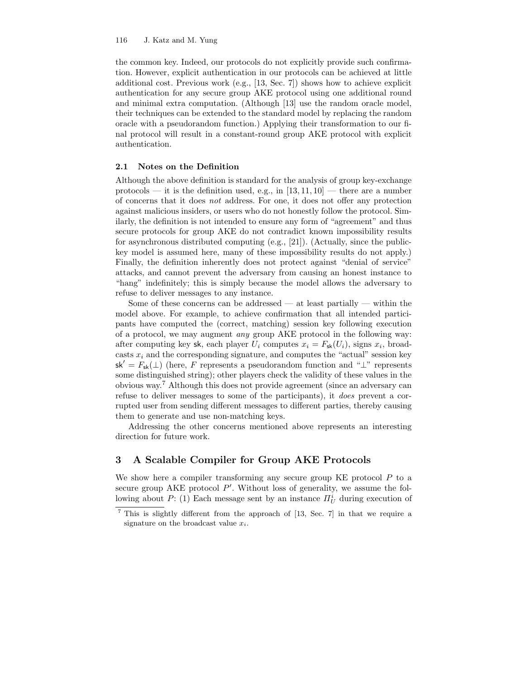the common key. Indeed, our protocols do not explicitly provide such confirmation. However, explicit authentication in our protocols can be achieved at little additional cost. Previous work (e.g., [13, Sec. 7]) shows how to achieve explicit authentication for any secure group AKE protocol using one additional round and minimal extra computation. (Although [13] use the random oracle model, their techniques can be extended to the standard model by replacing the random oracle with a pseudorandom function.) Applying their transformation to our final protocol will result in a constant-round group AKE protocol with explicit authentication.

#### 2.1 Notes on the Definition

Although the above definition is standard for the analysis of group key-exchange protocols — it is the definition used, e.g., in  $[13, 11, 10]$  — there are a number of concerns that it does not address. For one, it does not offer any protection against malicious insiders, or users who do not honestly follow the protocol. Similarly, the definition is not intended to ensure any form of "agreement" and thus secure protocols for group AKE do not contradict known impossibility results for asynchronous distributed computing  $(e.g., [21])$ . (Actually, since the publickey model is assumed here, many of these impossibility results do not apply.) Finally, the definition inherently does not protect against "denial of service" attacks, and cannot prevent the adversary from causing an honest instance to "hang" indefinitely; this is simply because the model allows the adversary to refuse to deliver messages to any instance.

Some of these concerns can be addressed — at least partially — within the model above. For example, to achieve confirmation that all intended participants have computed the (correct, matching) session key following execution of a protocol, we may augment any group AKE protocol in the following way: after computing key sk, each player  $U_i$  computes  $x_i = F_{\text{sk}}(U_i)$ , signs  $x_i$ , broadcasts  $x_i$  and the corresponding signature, and computes the "actual" session key  $sk' = F_{sk}(\perp)$  (here, F represents a pseudorandom function and "⊥" represents some distinguished string); other players check the validity of these values in the obvious way. <sup>7</sup> Although this does not provide agreement (since an adversary can refuse to deliver messages to some of the participants), it does prevent a corrupted user from sending different messages to different parties, thereby causing them to generate and use non-matching keys.

Addressing the other concerns mentioned above represents an interesting direction for future work.

## 3 A Scalable Compiler for Group AKE Protocols

We show here a compiler transforming any secure group  $KE$  protocol  $P$  to a secure group AKE protocol  $P'$ . Without loss of generality, we assume the following about  $P$ : (1) Each message sent by an instance  $\Pi_U^i$  during execution of

<sup>7</sup> This is slightly different from the approach of [13, Sec. 7] in that we require a signature on the broadcast value  $x_i$ .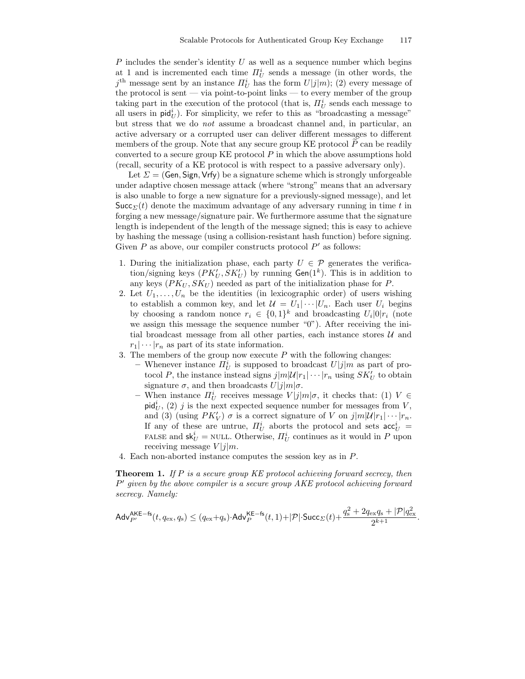P includes the sender's identity  $U$  as well as a sequence number which begins at 1 and is incremented each time  $\Pi_U^i$  sends a message (in other words, the  $j<sup>th</sup>$  message sent by an instance  $\Pi_U^i$  has the form  $U|j|m$ ; (2) every message of the protocol is sent — via point-to-point links — to every member of the group taking part in the execution of the protocol (that is,  $\Pi_U^i$  sends each message to all users in  $\text{pid}_U^i$ ). For simplicity, we refer to this as "broadcasting a message" but stress that we do not assume a broadcast channel and, in particular, an active adversary or a corrupted user can deliver different messages to different members of the group. Note that any secure group  $KE$  protocol  $P$  can be readily converted to a secure group  $KE$  protocol  $P$  in which the above assumptions hold (recall, security of a KE protocol is with respect to a passive adversary only).

Let  $\Sigma = (Gen, Sign, Vrfy)$  be a signature scheme which is strongly unforgeable under adaptive chosen message attack (where "strong" means that an adversary is also unable to forge a new signature for a previously-signed message), and let Succ<sub> $\sum$ </sub>(t) denote the maximum advantage of any adversary running in time t in forging a new message/signature pair. We furthermore assume that the signature length is independent of the length of the message signed; this is easy to achieve by hashing the message (using a collision-resistant hash function) before signing. Given  $P$  as above, our compiler constructs protocol  $P'$  as follows:

- 1. During the initialization phase, each party  $U \in \mathcal{P}$  generates the verification/signing keys  $(PK_U', SK_U')$  by running  $Gen(1^k)$ . This is in addition to any keys  $(PK_U, SK_U)$  needed as part of the initialization phase for P.
- 2. Let  $U_1, \ldots, U_n$  be the identities (in lexicographic order) of users wishing to establish a common key, and let  $\mathcal{U} = U_1 | \cdots | U_n$ . Each user  $U_i$  begins by choosing a random nonce  $r_i \in \{0,1\}^k$  and broadcasting  $U_i|0|r_i$  (note we assign this message the sequence number "0"). After receiving the initial broadcast message from all other parties, each instance stores  $U$  and  $r_1 | \cdots | r_n$  as part of its state information.
- 3. The members of the group now execute  $P$  with the following changes:
	- Whenever instance  $\Pi_U^i$  is supposed to broadcast  $U[j]$ *m* as part of protocol P, the instance instead signs  $j|m|\mathcal{U}|r_1|\cdots|r_n$  using  $SK_U'$  to obtain signature  $\sigma$ , and then broadcasts  $U|j|m|\sigma$ .
	- When instance  $\Pi_U^i$  receives message  $V|j|m|\sigma$ , it checks that: (1)  $V \in$  $\mathsf{pid}_U^i$ , (2) j is the next expected sequence number for messages from V, and (3) (using  $PK'_V$ )  $\sigma$  is a correct signature of V on  $j|m|\mathcal{U}|r_1|\cdots|r_n$ . If any of these are untrue,  $\Pi_U^i$  aborts the protocol and sets  $\operatorname{acc}_U^i$  = FALSE and  $\mathsf{sk}_U^i$  = NULL. Otherwise,  $\Pi_U^i$  continues as it would in P upon receiving message  $V|j|m$ .
- 4. Each non-aborted instance computes the session key as in P.

**Theorem 1.** If  $P$  is a secure group  $KE$  protocol achieving forward secrecy, then P' given by the above compiler is a secure group AKE protocol achieving forward secrecy. Namely:

$$
\mathsf{Adv}_{P'}^{\mathsf{AKE-fs}}(t, q_{\text{ex}}, q_{\text{s}}) \leq (q_{\text{ex}} + q_{\text{s}}) \cdot \mathsf{Adv}_{P}^{\mathsf{KE-fs}}(t, 1) + |\mathcal{P}| \cdot \mathsf{Succ}_{\varSigma}(t) + \frac{q_{\text{s}}^2 + 2q_{\text{ex}}q_{\text{s}} + |\mathcal{P}|q_{\text{ex}}^2}{2^{k+1}}.
$$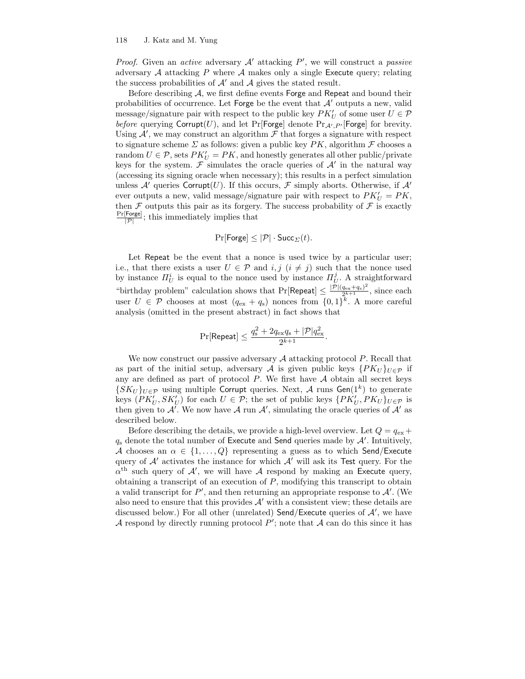#### 118 J. Katz and M. Yung

*Proof.* Given an *active* adversary  $A'$  attacking  $P'$ , we will construct a *passive* adversary  $A$  attacking P where  $A$  makes only a single Execute query; relating the success probabilities of  $\mathcal{A}'$  and  $\mathcal{A}$  gives the stated result.

Before describing A, we first define events Forge and Repeat and bound their probabilities of occurrence. Let Forge be the event that  $A'$  outputs a new, valid message/signature pair with respect to the public key  $PK_U'$  of some user  $U\in\mathcal{P}$ before querying Corrupt(U), and let  $Pr[Forge]$  denote  $Pr_{\mathcal{A}',P'}[Forge]$  for brevity. Using  $A'$ , we may construct an algorithm  $\mathcal F$  that forges a signature with respect to signature scheme  $\Sigma$  as follows: given a public key  $PK$ , algorithm  $\mathcal F$  chooses a random  $U \in \mathcal{P}$ , sets  $PK_U' = PK$ , and honestly generates all other public/private keys for the system.  $\mathcal F$  simulates the oracle queries of  $\mathcal A'$  in the natural way (accessing its signing oracle when necessary); this results in a perfect simulation unless  $\mathcal{A}'$  queries Corrupt(U). If this occurs,  $\mathcal{F}$  simply aborts. Otherwise, if  $\mathcal{A}'$ ever outputs a new, valid message/signature pair with respect to  $PK_U' = PK$ , then  $\mathcal F$  outputs this pair as its forgery. The success probability of  $\mathcal F$  is exactly Pr[Forge]  $\frac{[\text{Porge}]}{|\mathcal{P}|}$ ; this immediately implies that

$$
\Pr[\mathsf{Forge}] \leq |\mathcal{P}| \cdot \mathsf{Succ}_{\varSigma}(t).
$$

Let Repeat be the event that a nonce is used twice by a particular user; i.e., that there exists a user  $U \in \mathcal{P}$  and  $i, j \ (i \neq j)$  such that the nonce used by instance  $\Pi_U^i$  is equal to the nonce used by instance  $\Pi_U^j$ . A straightforward U "birthday problem" calculation shows that  $Pr[Repeat] \leq \frac{|P|(q_{ex}+q_{s})^2}{2^{k+1}}$  $\frac{q_{\text{ex}}+q_{\text{s}}}{2^{k+1}},$  since each user  $U \in \mathcal{P}$  chooses at most  $(q_{\text{ex}} + q_{\text{s}})$  nonces from  $\{0,1\}^k$ . A more careful analysis (omitted in the present abstract) in fact shows that

$$
\Pr[\mathsf{Repeat}] \leq \frac{q_{\mathrm{s}}^2 + 2q_{\mathrm{ex}}q_{\mathrm{s}} + |\mathcal{P}|q_{\mathrm{ex}}^2}{2^{k+1}}.
$$

We now construct our passive adversary  $A$  attacking protocol  $P$ . Recall that as part of the initial setup, adversary A is given public keys  $\{PK_U\}_{U\in\mathcal{P}}$  if any are defined as part of protocol  $P$ . We first have  $A$  obtain all secret keys  $\{SK_U\}_{U \in \mathcal{P}}$  using multiple Corrupt queries. Next, A runs Gen(1<sup>k</sup>) to generate keys  $(PK'_U, SK'_U)$  for each  $U \in \mathcal{P}$ ; the set of public keys  $\{PK'_U, PK_U\}_{U \in \mathcal{P}}$  is then given to  $\mathcal{A}'$ . We now have  $\mathcal{A}$  run  $\mathcal{A}'$ , simulating the oracle queries of  $\mathcal{A}'$  as described below.

Before describing the details, we provide a high-level overview. Let  $Q = q_{ex} +$  $q_{\rm s}$  denote the total number of Execute and Send queries made by  $\mathcal{A}'$ . Intuitively, A chooses an  $\alpha \in \{1, \ldots, Q\}$  representing a guess as to which Send/Execute query of  $A'$  activates the instance for which  $A'$  will ask its Test query. For the  $\alpha^{\text{th}}$  such query of A', we will have A respond by making an Execute query, obtaining a transcript of an execution of  $P$ , modifying this transcript to obtain a valid transcript for  $P'$ , and then returning an appropriate response to  $\mathcal{A}'$ . (We also need to ensure that this provides  $A'$  with a consistent view; these details are discussed below.) For all other (unrelated)  $Send/Execute$  queries of  $A'$ , we have A respond by directly running protocol  $P'$ ; note that A can do this since it has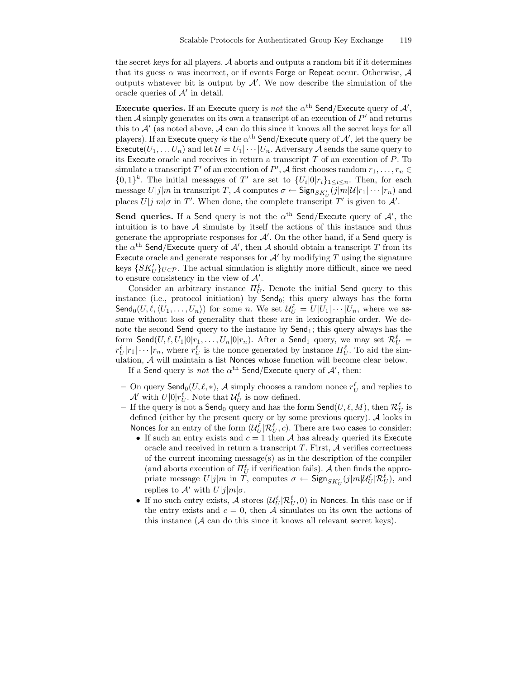the secret keys for all players.  $A$  aborts and outputs a random bit if it determines that its guess  $\alpha$  was incorrect, or if events Forge or Repeat occur. Otherwise,  $\mathcal A$ outputs whatever bit is output by  $A'$ . We now describe the simulation of the oracle queries of  $A'$  in detail.

Execute queries. If an Execute query is not the  $\alpha^{\text{th}}$  Send/Execute query of  $\mathcal{A}',$ then  $A$  simply generates on its own a transcript of an execution of  $P'$  and returns this to  $\mathcal{A}'$  (as noted above,  $\mathcal{A}$  can do this since it knows all the secret keys for all players). If an Execute query  $i s$  the  $\alpha^\text{th}$  Send/Execute query of  $\mathcal{A}',$  let the query be Execute( $U_1, \ldots, U_n$ ) and let  $\mathcal{U} = U_1 | \cdots | U_n$ . Adversary A sends the same query to its Execute oracle and receives in return a transcript  $T$  of an execution of  $P$ . To simulate a transcript  $T'$  of an execution of  $P'$ ,  $\mathcal A$  first chooses random  $r_1, \ldots, r_n \in$  $\{0,1\}^k$ . The initial messages of T' are set to  $\{U_i|0|r_i\}_{1\leq i\leq n}$ . Then, for each message  $U|j|m$  in transcript T, A computes  $\sigma \leftarrow \mathsf{Sign}_{SK'_U}(j|m|\mathcal{U}|r_1|\cdots|r_n)$  and places  $U[j]m[\sigma \text{ in } T'.$  When done, the complete transcript  $T'$  is given to  $\mathcal{A}'.$ 

Send queries. If a Send query is not the  $\alpha^{\text{th}}$  Send/Execute query of  $\mathcal{A}',$  the intuition is to have  $A$  simulate by itself the actions of this instance and thus generate the appropriate responses for  $\mathcal{A}'$ . On the other hand, if a Send query is the  $\alpha^{\text{th}}$  Send/Execute query of  $\mathcal{A}'$ , then  $\mathcal{A}$  should obtain a transcript T from its Execute oracle and generate responses for  $\mathcal{A}'$  by modifying T using the signature keys  $\{SK_U'\}_{U \in \mathcal{P}}$ . The actual simulation is slightly more difficult, since we need to ensure consistency in the view of  $\mathcal{A}'$ .

Consider an arbitrary instance  $\Pi_U^{\ell}$ . Denote the initial Send query to this instance (i.e., protocol initiation) by  $Send_0$ ; this query always has the form Send<sub>0</sub> $(U, \ell, \langle U_1, \ldots, U_n \rangle)$  for some n. We set  $\mathcal{U}_U^{\ell} = U|U_1| \cdots |U_n$ , where we assume without loss of generality that these are in lexicographic order. We denote the second Send query to the instance by  $Send_1$ ; this query always has the form  $\mathsf{Send}(U, \ell, U_1|0|r_1, \ldots, U_n|0|r_n)$ . After a  $\mathsf{Send}_1$  query, we may set  $\mathcal{R}_U^{\ell}$  =  $r_U^{\ell}|r_1|\cdots|r_n$ , where  $r_U^{\ell}$  is the nonce generated by instance  $\Pi_U^{\ell}$ . To aid the simulation, A will maintain a list Nonces whose function will become clear below.

If a Send query is  $not$  the  $\alpha^\text{th}$  Send/Execute query of  $\mathcal{A}',$  then:

- − On query  $\mathsf{Send}_0(U, \ell, *)$ ,  $\mathcal A$  simply chooses a random nonce  $r_U^{\ell}$  and replies to  $\mathcal{A}'$  with  $U|0|r_U^{\ell}$ . Note that  $\mathcal{U}_U^{\ell}$  is now defined.
- $-$  If the query is not a Send<sub>0</sub> query and has the form Send $(U, \ell, M)$ , then  $\mathcal{R}_U^{\ell}$  is defined (either by the present query or by some previous query). A looks in Nonces for an entry of the form  $(U_U^{\ell} | R_U^{\ell}, c)$ . There are two cases to consider:
	- If such an entry exists and  $c = 1$  then A has already queried its Execute oracle and received in return a transcript  $T$ . First,  $A$  verifies correctness of the current incoming message(s) as in the description of the compiler (and aborts execution of  $\Pi_U^\ell$  if verification fails). A then finds the appropriate message  $U|j|m$  in T, computes  $\sigma \leftarrow \mathsf{Sign}_{SK'_U}(j|m|\mathcal{U}_U^{\ell}|\mathcal{R}_U^{\ell}),$  and replies to  $\mathcal{A}'$  with  $U|j|m|\sigma$ .
	- If no such entry exists, A stores  $(U_U^{\ell} | \mathcal{R}_U^{\ell}, 0)$  in Nonces. In this case or if the entry exists and  $c = 0$ , then A simulates on its own the actions of this instance (A can do this since it knows all relevant secret keys).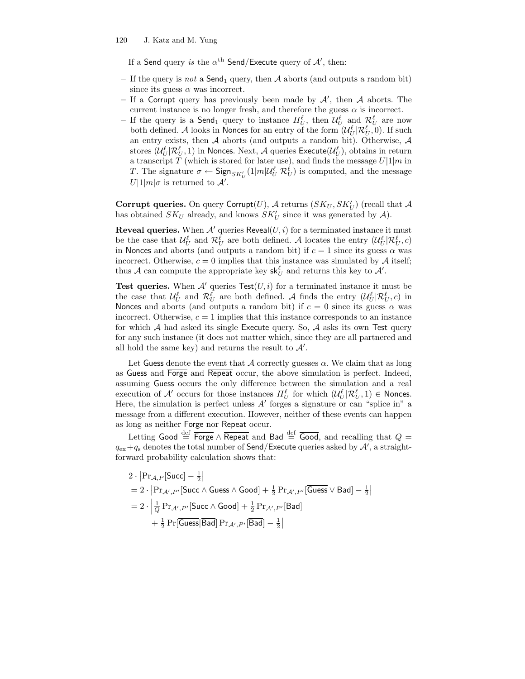If a Send query  $i s$  the  $\alpha^\text{th}$  Send/Execute query of  $\mathcal{A}',$  then:

- If the query is not a Send<sub>1</sub> query, then A aborts (and outputs a random bit) since its guess  $\alpha$  was incorrect.
- If a Corrupt query has previously been made by  $A'$ , then  $A$  aborts. The current instance is no longer fresh, and therefore the guess  $\alpha$  is incorrect.
- If the query is a Send<sub>1</sub> query to instance  $\Pi_U^{\ell}$ , then  $\mathcal{U}_U^{\ell}$  and  $\mathcal{R}_U^{\ell}$  are now both defined. A looks in Nonces for an entry of the form  $(\mathcal{U}^{\ell}_U | \mathcal{R}^{\ell}_U, 0)$ . If such an entry exists, then  $A$  aborts (and outputs a random bit). Otherwise,  $A$ stores  $(\mathcal{U}^\ell_U|\mathcal{R}_U^\ell,1)$  in Nonces. Next,  $\mathcal A$  queries  $\mathsf{Execute}(\mathcal{U}^\ell_U),$  obtains in return a transcript T (which is stored for later use), and finds the message  $U|1|m$  in T. The signature  $\sigma \leftarrow \mathsf{Sign}_{SK'_U}(1|m|\mathcal{U}_U^{\ell}|\mathcal{R}_U^{\ell})$  is computed, and the message  $U|1|m|\sigma$  is returned to  $\mathcal{A}'$ .

**Corrupt queries.** On query  $\text{Corrupt}(U)$ ,  $\mathcal A$  returns  $(SK_U, SK_U')$  (recall that  $\mathcal A$ has obtained  $SK_U$  already, and knows  $SK'_U$  since it was generated by  $A$ ).

**Reveal queries.** When  $A'$  queries Reveal $(U, i)$  for a terminated instance it must be the case that  $\mathcal{U}^{\ell}_{U}$  and  $\mathcal{R}^{\ell}_{U}$  are both defined. A locates the entry  $(\mathcal{U}^{\ell}_{U}|\mathcal{R}^{\ell}_{U}, c)$ in Nonces and aborts (and outputs a random bit) if  $c = 1$  since its guess  $\alpha$  was incorrect. Otherwise,  $c = 0$  implies that this instance was simulated by A itself; thus A can compute the appropriate key  $\mathsf{sk}^\ell_U$  and returns this key to  $\mathcal{A}'$ .

**Test queries.** When  $A'$  queries  $Test(U, i)$  for a terminated instance it must be the case that  $\mathcal{U}^{\ell}_{U}$  and  $\mathcal{R}^{\ell}_{U}$  are both defined. A finds the entry  $(\mathcal{U}^{\ell}_{U} | \mathcal{R}^{\ell}_{U}, c)$  in Nonces and aborts (and outputs a random bit) if  $c = 0$  since its guess  $\alpha$  was incorrect. Otherwise,  $c = 1$  implies that this instance corresponds to an instance for which  $A$  had asked its single Execute query. So,  $A$  asks its own Test query for any such instance (it does not matter which, since they are all partnered and all hold the same key) and returns the result to  $\mathcal{A}'$ .

Let Guess denote the event that A correctly guesses  $\alpha$ . We claim that as long as Guess and Forge and Repeat occur, the above simulation is perfect. Indeed, assuming Guess occurs the only difference between the simulation and a real execution of  $\mathcal{A}'$  occurs for those instances  $\Pi_U^\ell$  for which  $(\mathcal{U}_U^\ell | \mathcal{R}_U^\ell, 1) \in \mathsf{Nonces}.$ Here, the simulation is perfect unless  $A'$  forges a signature or can "splice in" a message from a different execution. However, neither of these events can happen as long as neither Forge nor Repeat occur.

Letting Good  $\stackrel{\text{def}}{=}$  Forge  $\wedge$  Repeat and Bad  $\stackrel{\text{def}}{=}$  Good, and recalling that  $Q =$  $q_{\text{ex}}+q_{\text{s}}$  denotes the total number of Send/Execute queries asked by  $\mathcal{A}'$ , a straightforward probability calculation shows that:

$$
\begin{aligned} 2 \cdot \left|\Pr_{\mathcal{A},P}[\mathsf{Succ}] - \tfrac{1}{2}\right| \\ & = 2 \cdot \left|\Pr_{\mathcal{A}',P'}[\mathsf{Succ} \land \mathsf{Guess} \land \mathsf{Good}] + \tfrac{1}{2}\Pr_{\mathcal{A}',P'}[\overline{\mathsf{Guess}} \lor \mathsf{Bad}] - \tfrac{1}{2}\right| \\ & = 2 \cdot \left|\tfrac{1}{Q}\Pr_{\mathcal{A}',P'}[\mathsf{Succ} \land \mathsf{Good}] + \tfrac{1}{2}\Pr_{\mathcal{A}',P'}[\mathsf{Bad}] \\ & + \tfrac{1}{2}\Pr[\overline{\mathsf{Guess}}|\overline{\mathsf{Bad}}]\Pr_{\mathcal{A}',P'}[\overline{\mathsf{Bad}}] - \tfrac{1}{2}\right| \end{aligned}
$$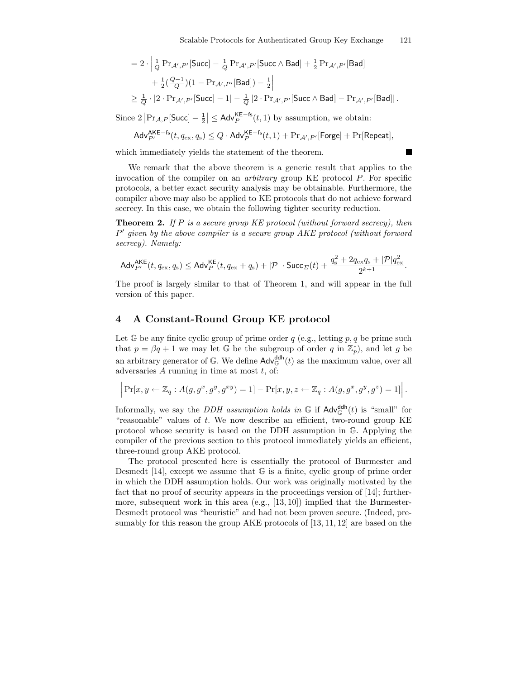$$
\begin{aligned} &= 2 \cdot \Big| \tfrac{1}{Q}\operatorname{Pr}_{\mathcal{A}',P'}[\mathsf{Succ}] - \tfrac{1}{Q}\operatorname{Pr}_{\mathcal{A}',P'}[\mathsf{Succ} \wedge \mathsf{Bad}] + \tfrac{1}{2}\operatorname{Pr}_{\mathcal{A}',P'}[\mathsf{Bad}] \\ &+ \tfrac{1}{2}(\tfrac{Q-1}{Q})(1-\operatorname{Pr}_{\mathcal{A}',P'}[\mathsf{Bad}]) - \tfrac{1}{2} \Big| \\ &\geq \tfrac{1}{Q} \cdot |2 \cdot \operatorname{Pr}_{\mathcal{A}',P'}[\mathsf{Succ}] - 1| - \tfrac{1}{Q} \, |2 \cdot \operatorname{Pr}_{\mathcal{A}',P'}[\mathsf{Succ} \wedge \mathsf{Bad}] - \operatorname{Pr}_{\mathcal{A}',P'}[\mathsf{Bad}] | \,. \end{aligned}
$$

Since  $2 \left| \Pr_{A,P}[\mathsf{Succ}] - \frac{1}{2} \right| \leq \mathsf{Adv}_{P}^{\mathsf{KE}-\mathsf{fs}}(t,1)$  by assumption, we obtain:

$$
\mathsf{Adv}_{P'}^{\mathsf{AKE-fs}}(t, q_{\mathsf{ex}}, q_{\mathsf{s}}) \leq Q \cdot \mathsf{Adv}_{P}^{\mathsf{KE-fs}}(t, 1) + \Pr_{\mathcal{A}', P'}[\mathsf{Forge}] + \Pr[\mathsf{Repeat}],
$$

which immediately yields the statement of the theorem.

Г

We remark that the above theorem is a generic result that applies to the invocation of the compiler on an arbitrary group KE protocol P. For specific protocols, a better exact security analysis may be obtainable. Furthermore, the compiler above may also be applied to KE protocols that do not achieve forward secrecy. In this case, we obtain the following tighter security reduction.

**Theorem 2.** If  $P$  is a secure group  $KE$  protocol (without forward secrecy), then  $P'$  given by the above compiler is a secure group  $AKE$  protocol (without forward secrecy). Namely:

$$
\mathsf{Adv}_{P'}^{\mathsf{AKE}}(t, q_{\mathrm{ex}}, q_{\mathrm{s}}) \leq \mathsf{Adv}_{P}^{\mathsf{KE}}(t, q_{\mathrm{ex}} + q_{\mathrm{s}}) + |\mathcal{P}| \cdot \mathsf{Succ}_\varSigma(t) + \frac{q_{\mathrm{s}}^2 + 2q_{\mathrm{ex}}q_{\mathrm{s}} + |\mathcal{P}|q_{\mathrm{ex}}^2}{2^{k+1}}.
$$

The proof is largely similar to that of Theorem 1, and will appear in the full version of this paper.

## 4 A Constant-Round Group KE protocol

Let  $\mathbb G$  be any finite cyclic group of prime order q (e.g., letting p, q be prime such that  $p = \beta q + 1$  we may let G be the subgroup of order q in  $\mathbb{Z}_p^*$ , and let g be an arbitrary generator of  $\mathbb{G}$ . We define  $\mathsf{Adv}_{\mathbb{G}}^{\mathsf{ddh}}(t)$  as the maximum value, over all adversaries  $A$  running in time at most  $t$ , of:

$$
\Big|\Pr[x,y\leftarrow\mathbb{Z}_q:A(g,g^x,g^y,g^{xy})=1]-\Pr[x,y,z\leftarrow\mathbb{Z}_q:A(g,g^x,g^y,g^z)=1]\Big|\,.
$$

Informally, we say the *DDH assumption holds in*  $\mathbb{G}$  if  $\mathsf{Adv}_{\mathbb{G}}^{\mathsf{ddh}}(t)$  is "small" for "reasonable" values of t. We now describe an efficient, two-round group KE protocol whose security is based on the DDH assumption in G. Applying the compiler of the previous section to this protocol immediately yields an efficient, three-round group AKE protocol.

The protocol presented here is essentially the protocol of Burmester and Desmedt [14], except we assume that  $G$  is a finite, cyclic group of prime order in which the DDH assumption holds. Our work was originally motivated by the fact that no proof of security appears in the proceedings version of [14]; furthermore, subsequent work in this area  $(e.g., [13, 10])$  implied that the Burmester-Desmedt protocol was "heuristic" and had not been proven secure. (Indeed, presumably for this reason the group AKE protocols of [13, 11, 12] are based on the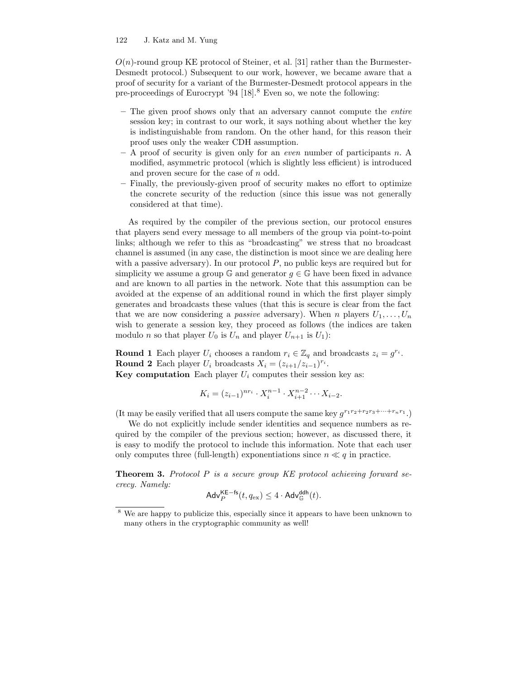$O(n)$ -round group KE protocol of Steiner, et al. [31] rather than the Burmester-Desmedt protocol.) Subsequent to our work, however, we became aware that a proof of security for a variant of the Burmester-Desmedt protocol appears in the pre-proceedings of Eurocrypt '94 [18].<sup>8</sup> Even so, we note the following:

- The given proof shows only that an adversary cannot compute the entire session key; in contrast to our work, it says nothing about whether the key is indistinguishable from random. On the other hand, for this reason their proof uses only the weaker CDH assumption.
- A proof of security is given only for an even number of participants n. A modified, asymmetric protocol (which is slightly less efficient) is introduced and proven secure for the case of n odd.
- Finally, the previously-given proof of security makes no effort to optimize the concrete security of the reduction (since this issue was not generally considered at that time).

As required by the compiler of the previous section, our protocol ensures that players send every message to all members of the group via point-to-point links; although we refer to this as "broadcasting" we stress that no broadcast channel is assumed (in any case, the distinction is moot since we are dealing here with a passive adversary). In our protocol  $P$ , no public keys are required but for simplicity we assume a group  $\mathbb{G}$  and generator  $g \in \mathbb{G}$  have been fixed in advance and are known to all parties in the network. Note that this assumption can be avoided at the expense of an additional round in which the first player simply generates and broadcasts these values (that this is secure is clear from the fact that we are now considering a *passive* adversary). When *n* players  $U_1, \ldots, U_n$ wish to generate a session key, they proceed as follows (the indices are taken modulo *n* so that player  $U_0$  is  $U_n$  and player  $U_{n+1}$  is  $U_1$ ):

**Round 1** Each player  $U_i$  chooses a random  $r_i \in \mathbb{Z}_q$  and broadcasts  $z_i = g^{r_i}$ . **Round 2** Each player  $U_i$  broadcasts  $X_i = (z_{i+1}/z_{i-1})^{r_i}$ .

Key computation Each player  $U_i$  computes their session key as:

$$
K_i = (z_{i-1})^{nr_i} \cdot X_i^{n-1} \cdot X_{i+1}^{n-2} \cdots X_{i-2}.
$$

(It may be easily verified that all users compute the same key  $g^{r_1r_2+r_2r_3+\cdots+r_nr_1}$ .)

We do not explicitly include sender identities and sequence numbers as required by the compiler of the previous section; however, as discussed there, it is easy to modify the protocol to include this information. Note that each user only computes three (full-length) exponentiations since  $n \ll q$  in practice.

**Theorem 3.** Protocol  $P$  is a secure group  $KE$  protocol achieving forward secrecy. Namely:

$$
\mathsf{Adv}_{P}^{\mathsf{KE-fs}}(t, q_{\mathrm{ex}}) \le 4 \cdot \mathsf{Adv}_{\mathbb{G}}^{\mathsf{ddh}}(t).
$$

<sup>8</sup> We are happy to publicize this, especially since it appears to have been unknown to many others in the cryptographic community as well!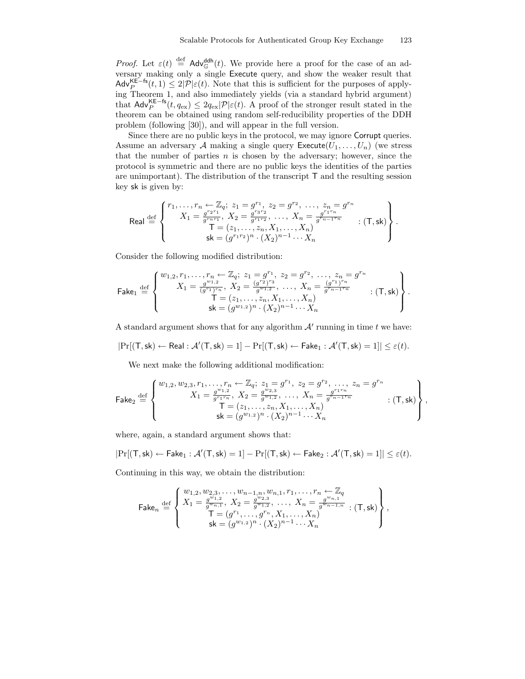*Proof.* Let  $\varepsilon(t) \stackrel{\text{def}}{=} \text{Adv}_{\mathbb{G}}^{\text{ddh}}(t)$ . We provide here a proof for the case of an adversary making only a single Execute query, and show the weaker result that  $\mathsf{Adv}_{P}^{\mathsf{KE}-\mathsf{fs}}(t,1) \leq 2|\mathcal{P}|\varepsilon(t)$ . Note that this is sufficient for the purposes of applying Theorem 1, and also immediately yields (via a standard hybrid argument) that  $\mathsf{Adv}_{P}^{\mathsf{KE}-\mathsf{fs}}(t, q_{\text{ex}}) \leq 2q_{\text{ex}}|\mathcal{P}|\varepsilon(t)$ . A proof of the stronger result stated in the theorem can be obtained using random self-reducibility properties of the DDH problem (following [30]), and will appear in the full version.

Since there are no public keys in the protocol, we may ignore Corrupt queries. Assume an adversary A making a single query  $\mathsf{Execute}(U_1, \ldots, U_n)$  (we stress that the number of parties  $n$  is chosen by the adversary; however, since the protocol is symmetric and there are no public keys the identities of the parties are unimportant). The distribution of the transcript  $\mathsf T$  and the resulting session key sk is given by:

Real 
$$
\stackrel{\text{def}}{=} \begin{Bmatrix} r_1, \ldots, r_n \leftarrow \mathbb{Z}_q; z_1 = g^{r_1}, z_2 = g^{r_2}, \ldots, z_n = g^{r_n} \\ X_1 = \frac{g^{r_2 r_1}}{g^{r_n r_1}}, X_2 = \frac{g^{r_3 r_2}}{g^{r_1 r_2}}, \ldots, X_n = \frac{g^{r_1 r_n}}{g^{r_{n-1} r_n}} \\ \begin{bmatrix} \mathsf{T} = (z_1, \ldots, z_n, X_1, \ldots, X_n) \\ \mathsf{sk} = (g^{r_1 r_2})^n \cdot (X_2)^{n-1} \cdots X_n \end{bmatrix} . \end{Bmatrix}.
$$

Consider the following modified distribution:

$$
\text{Fake}_{1} \stackrel{\text{def}}{=} \begin{Bmatrix} w_{1,2}, r_{1}, \ldots, r_{n} \leftarrow \mathbb{Z}_{q}; \ z_{1} = g^{r_{1}}, \ z_{2} = g^{r_{2}}, \ldots, z_{n} = g^{r_{n}} \\ X_{1} = \frac{g^{w_{1,2}}}{(g^{r_{1}})^{r_{n}}}, \ X_{2} = \frac{(g^{r_{2}})^{r_{3}}}{g^{w_{1,2}}}, \ldots, \ X_{n} = \frac{(g^{r_{1}})^{r_{n}}}{g^{r_{n-1}r_{n}}} \\ \text{T} = (z_{1}, \ldots, z_{n}, X_{1}, \ldots, X_{n}) \\ \text{s}{k} = (g^{w_{1,2}})^{n} \cdot (X_{2})^{n-1} \cdots X_{n} \end{Bmatrix}.
$$

A standard argument shows that for any algorithm  $A'$  running in time t we have:

$$
|\mathrm{Pr}[(\mathsf{T},\mathsf{sk}) \leftarrow \mathsf{Real}: \mathcal{A}'(\mathsf{T},\mathsf{sk}) = 1] - \mathrm{Pr}[(\mathsf{T},\mathsf{sk}) \leftarrow \mathsf{Fake}_1: \mathcal{A}'(\mathsf{T},\mathsf{sk}) = 1] | \leq \varepsilon(t).
$$

We next make the following additional modification:

$$
\mathsf{False}_2 \stackrel{\text{def}}{=} \begin{Bmatrix} w_{1,2}, w_{2,3}, r_1, \dots, r_n \leftarrow \mathbb{Z}_q; \ z_1 = g^{r_1}, \ z_2 = g^{r_2}, \dots, \ z_n = g^{r_n} \\ X_1 = \frac{g^{w_{1,2}}}{g^{r_1 r_n}}, \ X_2 = \frac{g^{w_{2,3}}}{g^{w_{1,2}}}, \dots, \ X_n = \frac{g^{r_1 r_n}}{g^{r_{n-1} r_n}} \\ \begin{bmatrix} \mathsf{T} = (z_1, \dots, z_n, X_1, \dots, X_n) \\ \mathsf{s} \mathsf{k} = (g^{w_{1,2}})^n \cdot (X_2)^{n-1} \dots X_n \end{bmatrix}; (\mathsf{T}, \mathsf{sk}) \end{Bmatrix},
$$

where, again, a standard argument shows that:

$$
|\mathrm{Pr}[(\mathsf{T},\mathsf{sk}) \leftarrow \mathsf{Fake}_1: \mathcal{A}'(\mathsf{T},\mathsf{sk}) = 1] - \mathrm{Pr}[(\mathsf{T},\mathsf{sk}) \leftarrow \mathsf{Fake}_2: \mathcal{A}'(\mathsf{T},\mathsf{sk}) = 1]|\leq \varepsilon(t).
$$

Continuing in this way, we obtain the distribution:

$$
\text{Fake}_n \stackrel{\text{def}}{=} \left\{ \begin{array}{l} w_{1,2}, w_{2,3}, \dots, w_{n-1,n}, w_{n,1}, r_1, \dots, r_n \leftarrow \mathbb{Z}_q \\ X_1 = \frac{g^{w_{1,2}}}{g^{w_{n,1}}}, X_2 = \frac{g^{w_{2,3}}}{g^{w_{1,2}}}, \dots, X_n = \frac{g^{w_{n,1}}}{g^{w_{n-1,n}}} \\ \mathsf{T} = (g^{r_1}, \dots, g^{r_n}, X_1, \dots, X_n) \\ \mathsf{sk} = (g^{w_{1,2}})^n \cdot (X_2)^{n-1} \cdots X_n \end{array} \right\},
$$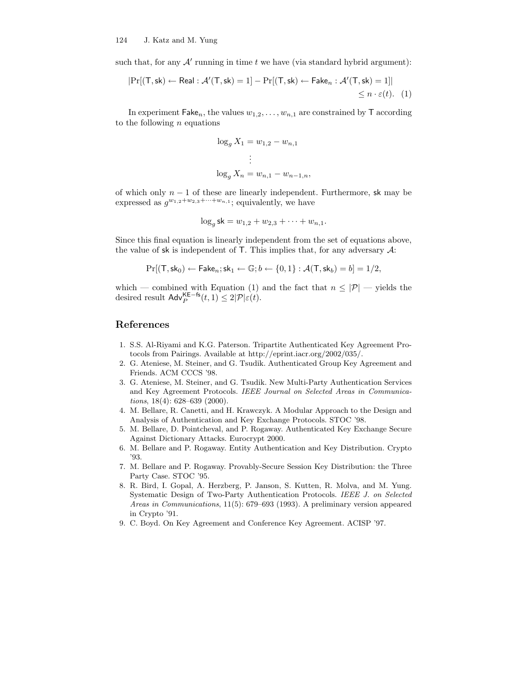such that, for any  $\mathcal{A}'$  running in time t we have (via standard hybrid argument):

$$
|\Pr[(T, sk) \leftarrow Real : \mathcal{A}'(T, sk) = 1] - \Pr[(T, sk) \leftarrow False_n : \mathcal{A}'(T, sk) = 1]|
$$
  
 $\leq n \cdot \varepsilon(t).$  (1)

In experiment Fake<sub>n</sub>, the values  $w_{1,2}, \ldots, w_{n,1}$  are constrained by T according to the following  $n$  equations

$$
\log_g X_1 = w_{1,2} - w_{n,1}
$$
  
\n
$$
\vdots
$$
  
\n
$$
\log_g X_n = w_{n,1} - w_{n-1,n},
$$

of which only  $n - 1$  of these are linearly independent. Furthermore, sk may be expressed as  $g^{w_{1,2}+w_{2,3}+\cdots+w_{n,1}}$ ; equivalently, we have

$$
\log_g \mathsf{sk} = w_{1,2} + w_{2,3} + \cdots + w_{n,1}.
$$

Since this final equation is linearly independent from the set of equations above, the value of sk is independent of  $\mathsf T$ . This implies that, for any adversary  $\mathcal A$ :

$$
\Pr[(\mathsf{T},\mathsf{sk}_0) \leftarrow \mathsf{Fake}_n; \mathsf{sk}_1 \leftarrow \mathbb{G}; b \leftarrow \{0,1\} : \mathcal{A}(\mathsf{T},\mathsf{sk}_b) = b] = 1/2,
$$

which — combined with Equation (1) and the fact that  $n \leq |\mathcal{P}|$  — yields the desired result  $\mathsf{Adv}_{P}^{\mathsf{KE}-\mathsf{fs}}(t,1) \leq 2|\mathcal{P}|\varepsilon(t)$ .

# References

- 1. S.S. Al-Riyami and K.G. Paterson. Tripartite Authenticated Key Agreement Protocols from Pairings. Available at http://eprint.iacr.org/2002/035/.
- 2. G. Ateniese, M. Steiner, and G. Tsudik. Authenticated Group Key Agreement and Friends. ACM CCCS '98.
- 3. G. Ateniese, M. Steiner, and G. Tsudik. New Multi-Party Authentication Services and Key Agreement Protocols. IEEE Journal on Selected Areas in Communications, 18(4): 628–639 (2000).
- 4. M. Bellare, R. Canetti, and H. Krawczyk. A Modular Approach to the Design and Analysis of Authentication and Key Exchange Protocols. STOC '98.
- 5. M. Bellare, D. Pointcheval, and P. Rogaway. Authenticated Key Exchange Secure Against Dictionary Attacks. Eurocrypt 2000.
- 6. M. Bellare and P. Rogaway. Entity Authentication and Key Distribution. Crypto '93.
- 7. M. Bellare and P. Rogaway. Provably-Secure Session Key Distribution: the Three Party Case. STOC '95.
- 8. R. Bird, I. Gopal, A. Herzberg, P. Janson, S. Kutten, R. Molva, and M. Yung. Systematic Design of Two-Party Authentication Protocols. IEEE J. on Selected Areas in Communications, 11(5): 679–693 (1993). A preliminary version appeared in Crypto '91.
- 9. C. Boyd. On Key Agreement and Conference Key Agreement. ACISP '97.